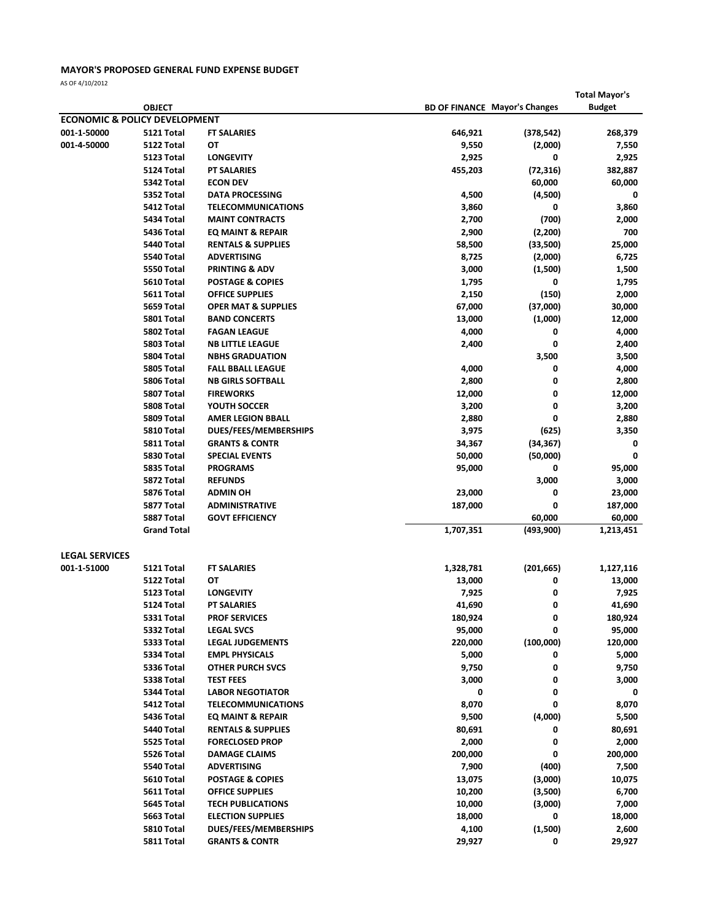## MAYOR'S PROPOSED GENERAL FUND EXPENSE BUDGET

AS OF 4/10/2012

|                                      |                                          |                                   |           |                                      | <b>Total Mayor's</b> |
|--------------------------------------|------------------------------------------|-----------------------------------|-----------|--------------------------------------|----------------------|
|                                      | <b>OBJECT</b>                            |                                   |           | <b>BD OF FINANCE Mayor's Changes</b> | <b>Budget</b>        |
|                                      | <b>ECONOMIC &amp; POLICY DEVELOPMENT</b> |                                   |           |                                      |                      |
| 001-1-50000                          | 5121 Total                               | <b>FT SALARIES</b>                | 646,921   | (378, 542)                           | 268,379              |
| 001-4-50000                          | 5122 Total                               | ОТ                                | 9,550     | (2,000)                              | 7,550                |
|                                      | 5123 Total                               | <b>LONGEVITY</b>                  | 2,925     | 0                                    | 2,925                |
|                                      | 5124 Total                               | <b>PT SALARIES</b>                | 455,203   | (72, 316)                            | 382,887              |
|                                      | 5342 Total                               | <b>ECON DEV</b>                   |           | 60,000                               | 60,000               |
|                                      | 5352 Total                               | <b>DATA PROCESSING</b>            | 4,500     | (4,500)                              | 0                    |
|                                      | 5412 Total                               | <b>TELECOMMUNICATIONS</b>         | 3,860     | 0                                    | 3,860                |
|                                      | 5434 Total                               | <b>MAINT CONTRACTS</b>            | 2,700     | (700)                                | 2,000                |
|                                      | 5436 Total                               | EQ MAINT & REPAIR                 | 2,900     | (2, 200)                             | 700                  |
|                                      | 5440 Total                               | <b>RENTALS &amp; SUPPLIES</b>     | 58,500    | (33,500)                             | 25,000               |
|                                      | 5540 Total                               | <b>ADVERTISING</b>                | 8,725     | (2,000)                              | 6,725                |
|                                      | 5550 Total                               | <b>PRINTING &amp; ADV</b>         | 3,000     | (1,500)                              | 1,500                |
|                                      | 5610 Total                               | <b>POSTAGE &amp; COPIES</b>       | 1,795     | 0                                    | 1,795                |
|                                      | 5611 Total                               | <b>OFFICE SUPPLIES</b>            | 2,150     | (150)                                | 2,000                |
|                                      | 5659 Total                               | <b>OPER MAT &amp; SUPPLIES</b>    | 67,000    | (37,000)                             | 30,000               |
|                                      | 5801 Total                               | <b>BAND CONCERTS</b>              | 13,000    | (1,000)                              | 12,000               |
|                                      | 5802 Total                               | <b>FAGAN LEAGUE</b>               | 4,000     | 0                                    | 4,000                |
|                                      | 5803 Total                               | <b>NB LITTLE LEAGUE</b>           | 2,400     | 0                                    | 2,400                |
|                                      | 5804 Total                               | <b>NBHS GRADUATION</b>            |           | 3,500                                | 3,500                |
|                                      | 5805 Total                               | <b>FALL BBALL LEAGUE</b>          | 4,000     | 0                                    | 4,000                |
|                                      | 5806 Total<br>5807 Total                 | <b>NB GIRLS SOFTBALL</b>          | 2,800     | 0                                    | 2,800                |
|                                      |                                          | <b>FIREWORKS</b><br>YOUTH SOCCER  | 12,000    | 0                                    | 12,000               |
|                                      | 5808 Total                               | <b>AMER LEGION BBALL</b>          | 3,200     | 0                                    | 3,200                |
|                                      | 5809 Total                               |                                   | 2,880     | 0                                    | 2,880                |
|                                      | 5810 Total                               | DUES/FEES/MEMBERSHIPS             | 3,975     | (625)                                | 3,350                |
|                                      | 5811 Total                               | <b>GRANTS &amp; CONTR</b>         | 34,367    | (34, 367)                            | 0<br>0               |
|                                      | 5830 Total                               | <b>SPECIAL EVENTS</b>             | 50,000    | (50,000)<br>0                        |                      |
|                                      | 5835 Total<br>5872 Total                 | <b>PROGRAMS</b><br><b>REFUNDS</b> | 95,000    | 3,000                                | 95,000<br>3,000      |
|                                      | 5876 Total                               | <b>ADMIN OH</b>                   | 23,000    | 0                                    | 23,000               |
|                                      | 5877 Total                               | <b>ADMINISTRATIVE</b>             | 187,000   | 0                                    | 187,000              |
|                                      | 5887 Total                               | <b>GOVT EFFICIENCY</b>            |           | 60,000                               | 60,000               |
|                                      | <b>Grand Total</b>                       |                                   | 1,707,351 | (493, 900)                           | 1,213,451            |
|                                      |                                          |                                   |           |                                      |                      |
| <b>LEGAL SERVICES</b><br>001-1-51000 | 5121 Total                               | <b>FT SALARIES</b>                | 1,328,781 | (201, 665)                           | 1,127,116            |
|                                      | 5122 Total                               | ОТ                                | 13,000    | 0                                    | 13,000               |
|                                      | 5123 Total                               | <b>LONGEVITY</b>                  | 7,925     | 0                                    | 7,925                |
|                                      | 5124 Total                               | <b>PT SALARIES</b>                | 41,690    |                                      | 41,690               |
|                                      | 5331 Total                               | <b>PROF SERVICES</b>              | 180,924   | 0                                    | 180,924              |
|                                      | 5332 Total                               | <b>LEGAL SVCS</b>                 | 95,000    | 0                                    | 95,000               |
|                                      | 5333 Total                               | <b>LEGAL JUDGEMENTS</b>           | 220,000   | (100,000)                            | 120,000              |
|                                      | 5334 Total                               | <b>EMPL PHYSICALS</b>             | 5,000     | 0                                    | 5,000                |
|                                      | 5336 Total                               | <b>OTHER PURCH SVCS</b>           | 9,750     | 0                                    | 9,750                |
|                                      | 5338 Total                               | <b>TEST FEES</b>                  | 3,000     | 0                                    | 3,000                |
|                                      | 5344 Total                               | <b>LABOR NEGOTIATOR</b>           | 0         | 0                                    | 0                    |
|                                      | 5412 Total                               | <b>TELECOMMUNICATIONS</b>         | 8,070     | 0                                    | 8,070                |
|                                      | 5436 Total                               | EQ MAINT & REPAIR                 | 9,500     | (4,000)                              | 5,500                |
|                                      | 5440 Total                               | <b>RENTALS &amp; SUPPLIES</b>     | 80,691    | 0                                    | 80,691               |
|                                      | 5525 Total                               | <b>FORECLOSED PROP</b>            | 2,000     | 0                                    | 2,000                |
|                                      | 5526 Total                               | <b>DAMAGE CLAIMS</b>              | 200,000   | 0                                    | 200,000              |
|                                      | 5540 Total                               | <b>ADVERTISING</b>                | 7,900     | (400)                                | 7,500                |
|                                      | 5610 Total                               | <b>POSTAGE &amp; COPIES</b>       | 13,075    | (3,000)                              | 10,075               |
|                                      | 5611 Total                               | <b>OFFICE SUPPLIES</b>            | 10,200    | (3,500)                              | 6,700                |
|                                      | 5645 Total                               | <b>TECH PUBLICATIONS</b>          | 10,000    | (3,000)                              | 7,000                |
|                                      | 5663 Total                               | <b>ELECTION SUPPLIES</b>          | 18,000    | 0                                    | 18,000               |
|                                      | 5810 Total                               | DUES/FEES/MEMBERSHIPS             | 4,100     | (1,500)                              | 2,600                |
|                                      | 5811 Total                               | <b>GRANTS &amp; CONTR</b>         | 29,927    | 0                                    | 29,927               |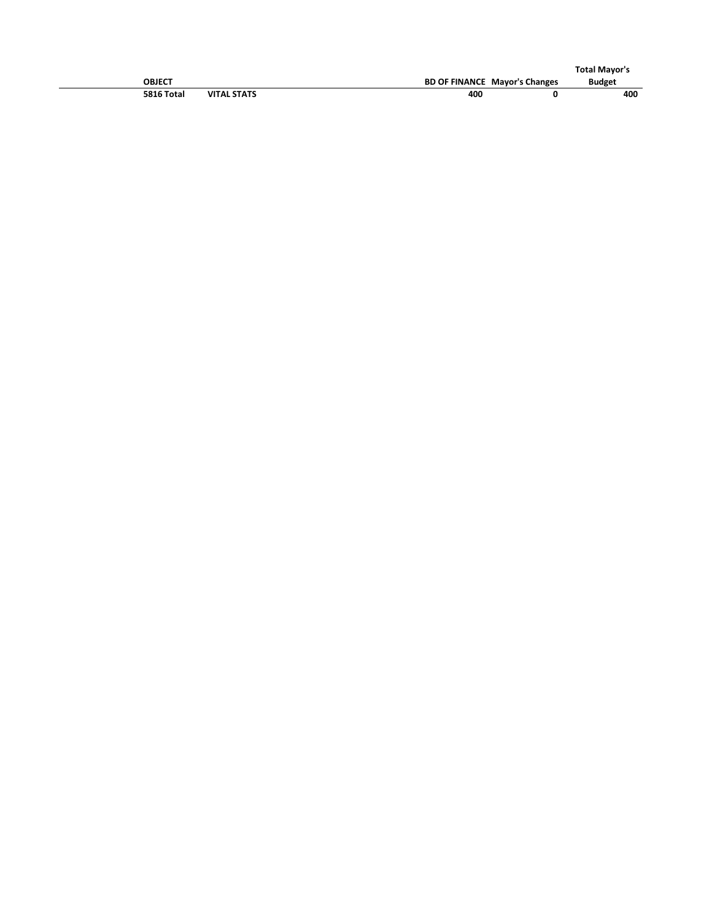|            |                    |     |                                      | <b>Total Mayor's</b> |
|------------|--------------------|-----|--------------------------------------|----------------------|
| OBJECT     |                    |     | <b>BD OF FINANCE Mayor's Changes</b> | <b>Budget</b>        |
| 5816 Total | <b>VITAL STATS</b> | 400 |                                      | 400                  |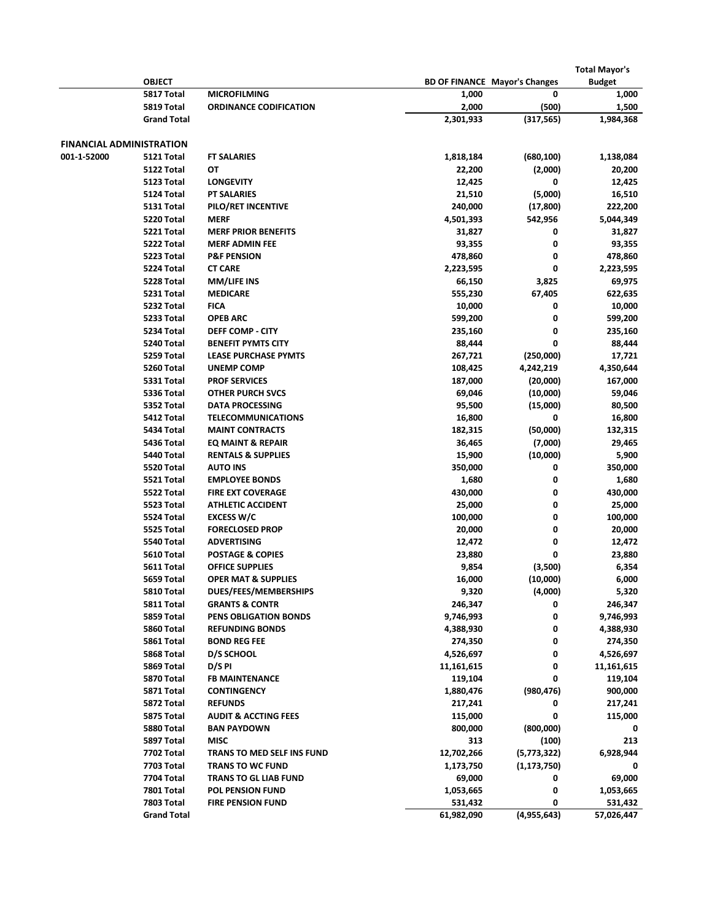|                                 |                                        |                                                       | <b>Total Mayor's</b>                 |                      |                      |  |
|---------------------------------|----------------------------------------|-------------------------------------------------------|--------------------------------------|----------------------|----------------------|--|
|                                 | <b>OBJECT</b>                          |                                                       | <b>BD OF FINANCE Mayor's Changes</b> |                      | <b>Budget</b>        |  |
|                                 | 5817 Total                             | <b>MICROFILMING</b>                                   | 1,000                                | 0                    | 1,000                |  |
|                                 | 5819 Total                             | <b>ORDINANCE CODIFICATION</b>                         | 2,000                                | (500)                | 1,500                |  |
|                                 | <b>Grand Total</b>                     |                                                       | 2,301,933                            | (317,565)            | 1,984,368            |  |
| <b>FINANCIAL ADMINISTRATION</b> |                                        |                                                       |                                      |                      |                      |  |
| 001-1-52000                     | 5121 Total                             | <b>FT SALARIES</b>                                    | 1,818,184                            | (680, 100)           | 1,138,084            |  |
|                                 | 5122 Total                             | OT                                                    | 22,200                               | (2,000)              | 20,200               |  |
|                                 | 5123 Total                             | <b>LONGEVITY</b>                                      | 12,425                               | 0                    | 12,425               |  |
|                                 | 5124 Total                             | <b>PT SALARIES</b>                                    | 21,510                               | (5,000)              | 16,510               |  |
|                                 | 5131 Total                             | PILO/RET INCENTIVE                                    | 240,000                              | (17, 800)            | 222,200              |  |
|                                 | 5220 Total                             | <b>MERF</b>                                           | 4,501,393                            | 542,956              | 5,044,349            |  |
|                                 | 5221 Total                             | <b>MERF PRIOR BENEFITS</b>                            | 31,827                               | 0                    | 31,827               |  |
|                                 | 5222 Total                             | <b>MERF ADMIN FEE</b>                                 | 93,355                               | 0                    | 93,355               |  |
|                                 | 5223 Total                             | <b>P&amp;F PENSION</b>                                | 478,860                              | 0                    | 478,860              |  |
|                                 | 5224 Total                             | <b>CT CARE</b>                                        | 2,223,595                            | 0                    | 2,223,595            |  |
|                                 | 5228 Total                             | <b>MM/LIFE INS</b>                                    | 66,150                               | 3,825                | 69,975               |  |
|                                 | 5231 Total                             | <b>MEDICARE</b>                                       | 555,230                              | 67,405               | 622,635              |  |
|                                 | 5232 Total                             | <b>FICA</b>                                           | 10,000                               | 0                    | 10,000               |  |
|                                 | 5233 Total                             | <b>OPEB ARC</b>                                       | 599,200                              | 0                    | 599,200              |  |
|                                 | 5234 Total                             | <b>DEFF COMP - CITY</b>                               | 235,160                              | 0                    | 235,160              |  |
|                                 | 5240 Total                             | <b>BENEFIT PYMTS CITY</b>                             | 88,444                               | 0                    | 88,444               |  |
|                                 | 5259 Total                             | <b>LEASE PURCHASE PYMTS</b>                           | 267,721                              | (250,000)            | 17,721               |  |
|                                 | 5260 Total                             | <b>UNEMP COMP</b>                                     | 108,425                              | 4,242,219            | 4,350,644            |  |
|                                 | 5331 Total                             | <b>PROF SERVICES</b>                                  | 187,000                              | (20,000)             | 167,000              |  |
|                                 | 5336 Total                             | <b>OTHER PURCH SVCS</b>                               | 69,046                               | (10,000)             | 59,046               |  |
|                                 | 5352 Total                             | <b>DATA PROCESSING</b>                                | 95,500                               | (15,000)             | 80,500               |  |
|                                 | 5412 Total                             | <b>TELECOMMUNICATIONS</b>                             | 16,800                               | 0                    | 16,800               |  |
|                                 | 5434 Total                             | <b>MAINT CONTRACTS</b>                                | 182,315                              | (50,000)             | 132,315              |  |
|                                 | 5436 Total                             | EQ MAINT & REPAIR                                     | 36,465                               | (7,000)              | 29,465               |  |
|                                 | 5440 Total                             | <b>RENTALS &amp; SUPPLIES</b>                         | 15,900                               | (10,000)             | 5,900                |  |
|                                 | 5520 Total                             | <b>AUTO INS</b>                                       | 350,000                              | 0                    | 350,000              |  |
|                                 | 5521 Total                             | <b>EMPLOYEE BONDS</b>                                 | 1,680                                | 0                    | 1,680                |  |
|                                 | 5522 Total                             | <b>FIRE EXT COVERAGE</b>                              | 430,000                              | 0                    | 430,000              |  |
|                                 | 5523 Total                             | <b>ATHLETIC ACCIDENT</b>                              | 25,000                               | 0                    | 25,000               |  |
|                                 | 5524 Total                             | <b>EXCESS W/C</b>                                     | 100,000                              | 0                    | 100,000              |  |
|                                 | 5525 Total                             | <b>FORECLOSED PROP</b>                                | 20,000                               | 0                    | 20,000               |  |
|                                 | 5540 Total                             | <b>ADVERTISING</b>                                    | 12,472                               | 0                    | 12,472               |  |
|                                 | 5610 Total                             | <b>POSTAGE &amp; COPIES</b>                           | 23,880                               | 0                    | 23,880               |  |
|                                 | 5611 Total                             | <b>OFFICE SUPPLIES</b>                                | 9,854                                | (3,500)              | 6,354                |  |
|                                 | 5659 Total                             | <b>OPER MAT &amp; SUPPLIES</b>                        | 16,000                               | (10,000)             | 6,000                |  |
|                                 | 5810 Total                             | DUES/FEES/MEMBERSHIPS                                 | 9,320                                | (4,000)              | 5,320                |  |
|                                 | 5811 Total                             | <b>GRANTS &amp; CONTR</b>                             | 246,347                              | 0                    | 246,347              |  |
|                                 | 5859 Total                             | PENS OBLIGATION BONDS                                 | 9,746,993                            | 0                    | 9,746,993            |  |
|                                 | 5860 Total                             | <b>REFUNDING BONDS</b>                                | 4,388,930                            | 0                    | 4,388,930            |  |
|                                 | 5861 Total                             | <b>BOND REG FEE</b>                                   | 274,350                              | 0                    | 274,350              |  |
|                                 | 5868 Total                             | D/S SCHOOL                                            | 4,526,697                            | 0                    | 4,526,697            |  |
|                                 | 5869 Total                             | D/S PI                                                | 11,161,615                           | 0                    | 11,161,615           |  |
|                                 | 5870 Total                             | <b>FB MAINTENANCE</b>                                 | 119,104                              | 0                    | 119,104              |  |
|                                 | 5871 Total<br>5872 Total               | <b>CONTINGENCY</b><br><b>REFUNDS</b>                  | 1,880,476                            | (980, 476)<br>0      | 900,000              |  |
|                                 |                                        |                                                       | 217,241<br>115,000                   | 0                    | 217,241              |  |
|                                 | 5875 Total<br>5880 Total               | <b>AUDIT &amp; ACCTING FEES</b><br><b>BAN PAYDOWN</b> |                                      | (800,000)            | 115,000<br>0         |  |
|                                 |                                        | <b>MISC</b>                                           | 800,000<br>313                       |                      | 213                  |  |
|                                 | 5897 Total<br>7702 Total               | TRANS TO MED SELF INS FUND                            | 12,702,266                           | (100)<br>(5,773,322) | 6,928,944            |  |
|                                 | 7703 Total                             | <b>TRANS TO WC FUND</b>                               |                                      |                      |                      |  |
|                                 | 7704 Total                             | <b>TRANS TO GL LIAB FUND</b>                          | 1,173,750<br>69,000                  | (1, 173, 750)<br>0   | 69,000               |  |
|                                 |                                        |                                                       |                                      | 0                    |                      |  |
|                                 |                                        |                                                       |                                      |                      |                      |  |
|                                 | <b>7801 Total</b><br><b>7803 Total</b> | POL PENSION FUND<br><b>FIRE PENSION FUND</b>          | 1,053,665<br>531,432                 | 0                    | 1,053,665<br>531,432 |  |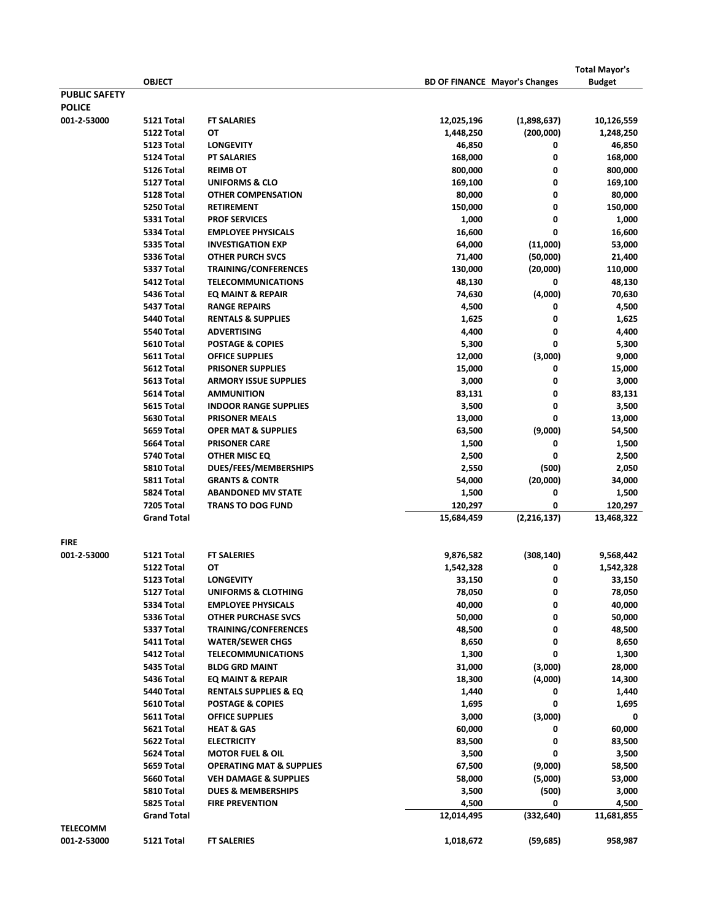|                      | <b>OBJECT</b>      |                                     | <b>BD OF FINANCE Mayor's Changes</b> |               | <b>Total Mayor's</b><br><b>Budget</b> |
|----------------------|--------------------|-------------------------------------|--------------------------------------|---------------|---------------------------------------|
| <b>PUBLIC SAFETY</b> |                    |                                     |                                      |               |                                       |
| <b>POLICE</b>        |                    |                                     |                                      |               |                                       |
| 001-2-53000          | 5121 Total         | <b>FT SALARIES</b>                  | 12,025,196                           | (1,898,637)   | 10,126,559                            |
|                      | 5122 Total         | OT                                  | 1,448,250                            | (200,000)     | 1,248,250                             |
|                      | 5123 Total         | <b>LONGEVITY</b>                    | 46,850                               | 0             | 46,850                                |
|                      | 5124 Total         | <b>PT SALARIES</b>                  | 168,000                              | 0             | 168,000                               |
|                      | 5126 Total         | <b>REIMB OT</b>                     | 800,000                              | 0             | 800,000                               |
|                      | 5127 Total         | UNIFORMS & CLO                      | 169,100                              | 0             | 169,100                               |
|                      | 5128 Total         | <b>OTHER COMPENSATION</b>           | 80,000                               | 0             | 80,000                                |
|                      | 5250 Total         | <b>RETIREMENT</b>                   | 150,000                              | 0             | 150,000                               |
|                      | 5331 Total         | <b>PROF SERVICES</b>                | 1,000                                | 0             | 1,000                                 |
|                      | 5334 Total         | <b>EMPLOYEE PHYSICALS</b>           | 16,600                               | 0             | 16,600                                |
|                      | 5335 Total         | <b>INVESTIGATION EXP</b>            | 64,000                               | (11,000)      | 53,000                                |
|                      | 5336 Total         | <b>OTHER PURCH SVCS</b>             | 71,400                               | (50,000)      | 21,400                                |
|                      | 5337 Total         | TRAINING/CONFERENCES                | 130,000                              | (20,000)      | 110,000                               |
|                      | 5412 Total         | <b>TELECOMMUNICATIONS</b>           | 48,130                               | 0             | 48,130                                |
|                      | 5436 Total         | <b>EQ MAINT &amp; REPAIR</b>        | 74,630                               | (4,000)       | 70,630                                |
|                      | 5437 Total         | <b>RANGE REPAIRS</b>                | 4,500                                | 0             | 4,500                                 |
|                      | 5440 Total         | <b>RENTALS &amp; SUPPLIES</b>       | 1,625                                | 0             | 1,625                                 |
|                      | 5540 Total         | <b>ADVERTISING</b>                  | 4,400                                | 0             | 4,400                                 |
|                      | 5610 Total         | <b>POSTAGE &amp; COPIES</b>         | 5,300                                | 0             | 5,300                                 |
|                      | 5611 Total         | <b>OFFICE SUPPLIES</b>              | 12,000                               | (3,000)       | 9,000                                 |
|                      | 5612 Total         | <b>PRISONER SUPPLIES</b>            | 15,000                               | 0             | 15,000                                |
|                      | 5613 Total         | <b>ARMORY ISSUE SUPPLIES</b>        | 3,000                                | 0             | 3,000                                 |
|                      | 5614 Total         | <b>AMMUNITION</b>                   | 83,131                               | 0             | 83,131                                |
|                      | 5615 Total         | <b>INDOOR RANGE SUPPLIES</b>        | 3,500                                | 0             | 3,500                                 |
|                      | 5630 Total         | <b>PRISONER MEALS</b>               | 13,000                               | 0             | 13,000                                |
|                      | 5659 Total         | <b>OPER MAT &amp; SUPPLIES</b>      | 63,500                               | (9,000)       | 54,500                                |
|                      | 5664 Total         | <b>PRISONER CARE</b>                | 1,500                                | 0             | 1,500                                 |
|                      | 5740 Total         | OTHER MISC EQ                       | 2,500                                | 0             | 2,500                                 |
|                      | 5810 Total         | DUES/FEES/MEMBERSHIPS               | 2,550                                | (500)         | 2,050                                 |
|                      | 5811 Total         | <b>GRANTS &amp; CONTR</b>           | 54,000                               | (20,000)      | 34,000                                |
|                      | 5824 Total         | <b>ABANDONED MV STATE</b>           | 1,500                                | 0             | 1,500                                 |
|                      | <b>7205 Total</b>  | <b>TRANS TO DOG FUND</b>            | 120,297                              | 0             | 120,297                               |
|                      | <b>Grand Total</b> |                                     | 15,684,459                           | (2, 216, 137) | 13,468,322                            |
| <b>FIRE</b>          |                    |                                     |                                      |               |                                       |
| 001-2-53000          | 5121 Total         | <b>FT SALERIES</b>                  | 9,876,582                            | (308, 140)    | 9,568,442                             |
|                      | 5122 Total         | ОТ                                  | 1,542,328                            | 0             | 1,542,328                             |
|                      | 5123 Total         | <b>LONGEVITY</b>                    | 33,150                               | 0             | 33,150                                |
|                      | 5127 Total         | <b>UNIFORMS &amp; CLOTHING</b>      | 78,050                               | 0             | 78,050                                |
|                      | 5334 Total         | <b>EMPLOYEE PHYSICALS</b>           | 40,000                               | 0             | 40,000                                |
|                      | 5336 Total         | <b>OTHER PURCHASE SVCS</b>          | 50,000                               | 0             | 50,000                                |
|                      | 5337 Total         | <b>TRAINING/CONFERENCES</b>         | 48,500                               | 0             | 48,500                                |
|                      | 5411 Total         | <b>WATER/SEWER CHGS</b>             | 8,650                                | 0             | 8,650                                 |
|                      | 5412 Total         | <b>TELECOMMUNICATIONS</b>           | 1,300                                | 0             | 1,300                                 |
|                      | 5435 Total         | <b>BLDG GRD MAINT</b>               | 31,000                               | (3,000)       | 28,000                                |
|                      | 5436 Total         | <b>EQ MAINT &amp; REPAIR</b>        | 18,300                               | (4,000)       | 14,300                                |
|                      | 5440 Total         | <b>RENTALS SUPPLIES &amp; EQ</b>    | 1,440                                | 0             | 1,440                                 |
|                      | 5610 Total         | <b>POSTAGE &amp; COPIES</b>         | 1,695                                | 0             | 1,695                                 |
|                      | 5611 Total         | <b>OFFICE SUPPLIES</b>              | 3,000                                | (3,000)       | 0                                     |
|                      | 5621 Total         | <b>HEAT &amp; GAS</b>               | 60,000                               | 0             | 60,000                                |
|                      | 5622 Total         | <b>ELECTRICITY</b>                  | 83,500                               | 0             | 83,500                                |
|                      | 5624 Total         | <b>MOTOR FUEL &amp; OIL</b>         | 3,500                                | 0             | 3,500                                 |
|                      | 5659 Total         | <b>OPERATING MAT &amp; SUPPLIES</b> | 67,500                               | (9,000)       | 58,500                                |
|                      | 5660 Total         | <b>VEH DAMAGE &amp; SUPPLIES</b>    | 58,000                               | (5,000)       | 53,000                                |
|                      | 5810 Total         | <b>DUES &amp; MEMBERSHIPS</b>       | 3,500                                | (500)         | 3,000                                 |
|                      | 5825 Total         | <b>FIRE PREVENTION</b>              | 4,500                                | 0             | 4,500                                 |
|                      | <b>Grand Total</b> |                                     | 12,014,495                           | (332, 640)    | 11,681,855                            |
| <b>TELECOMM</b>      |                    |                                     |                                      |               |                                       |
| 001-2-53000          | 5121 Total         | <b>FT SALERIES</b>                  | 1,018,672                            | (59, 685)     | 958,987                               |
|                      |                    |                                     |                                      |               |                                       |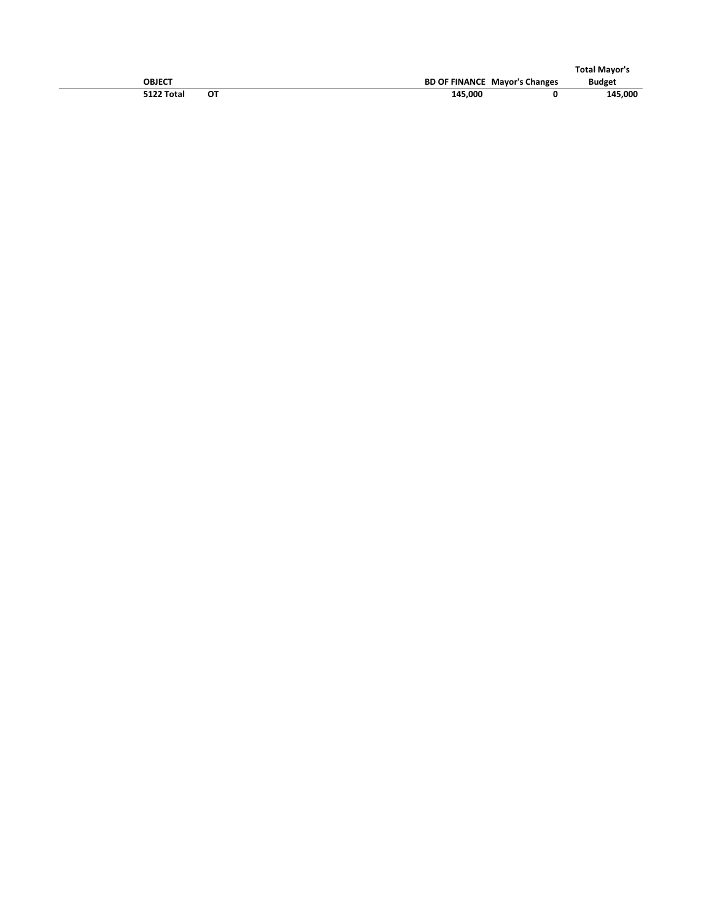|               |    |         |                                      | <b>Total Mayor's</b> |
|---------------|----|---------|--------------------------------------|----------------------|
| <b>OBJECT</b> |    |         | <b>BD OF FINANCE Mayor's Changes</b> | <b>Budget</b>        |
| 5122 Total    | ΟТ | 145,000 |                                      | 145,000              |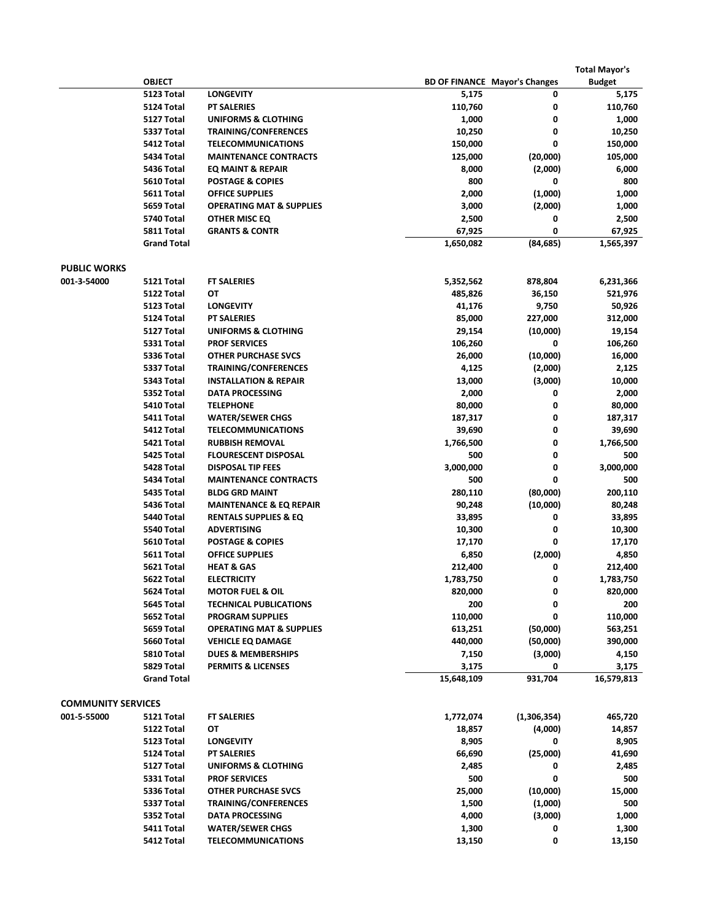|                           |                    |                                     |            |                                      | <b>Total Mayor's</b> |
|---------------------------|--------------------|-------------------------------------|------------|--------------------------------------|----------------------|
|                           | <b>OBJECT</b>      |                                     |            | <b>BD OF FINANCE Mayor's Changes</b> | <b>Budget</b>        |
|                           | 5123 Total         | <b>LONGEVITY</b>                    | 5,175      | 0                                    | 5,175                |
|                           | 5124 Total         | <b>PT SALERIES</b>                  | 110,760    | 0                                    | 110,760              |
|                           | 5127 Total         | <b>UNIFORMS &amp; CLOTHING</b>      | 1,000      | 0                                    | 1,000                |
|                           | 5337 Total         | TRAINING/CONFERENCES                | 10,250     | 0                                    | 10,250               |
|                           | 5412 Total         | <b>TELECOMMUNICATIONS</b>           | 150,000    | 0                                    | 150,000              |
|                           | 5434 Total         | <b>MAINTENANCE CONTRACTS</b>        | 125,000    | (20,000)                             | 105,000              |
|                           | 5436 Total         | EQ MAINT & REPAIR                   | 8,000      | (2,000)                              | 6,000                |
|                           | 5610 Total         | <b>POSTAGE &amp; COPIES</b>         | 800        | 0                                    | 800                  |
|                           | 5611 Total         | <b>OFFICE SUPPLIES</b>              | 2,000      | (1,000)                              | 1,000                |
|                           | 5659 Total         | <b>OPERATING MAT &amp; SUPPLIES</b> | 3,000      | (2,000)                              | 1,000                |
|                           | 5740 Total         | OTHER MISC EQ                       | 2,500      | 0                                    | 2,500                |
|                           | 5811 Total         | <b>GRANTS &amp; CONTR</b>           | 67,925     | 0                                    | 67,925               |
|                           | <b>Grand Total</b> |                                     | 1,650,082  | (84, 685)                            | 1,565,397            |
| <b>PUBLIC WORKS</b>       |                    |                                     |            |                                      |                      |
| 001-3-54000               | 5121 Total         | <b>FT SALERIES</b>                  | 5,352,562  | 878,804                              | 6,231,366            |
|                           | 5122 Total         | ОТ                                  | 485,826    | 36,150                               | 521,976              |
|                           | 5123 Total         | <b>LONGEVITY</b>                    | 41,176     | 9,750                                | 50,926               |
|                           | 5124 Total         | <b>PT SALERIES</b>                  | 85,000     | 227,000                              | 312,000              |
|                           | 5127 Total         | <b>UNIFORMS &amp; CLOTHING</b>      | 29,154     | (10,000)                             | 19,154               |
|                           | 5331 Total         | <b>PROF SERVICES</b>                | 106,260    | 0                                    | 106,260              |
|                           | 5336 Total         | <b>OTHER PURCHASE SVCS</b>          | 26,000     | (10,000)                             | 16,000               |
|                           | 5337 Total         | TRAINING/CONFERENCES                | 4,125      | (2,000)                              | 2,125                |
|                           | 5343 Total         | <b>INSTALLATION &amp; REPAIR</b>    | 13,000     | (3,000)                              | 10,000               |
|                           | 5352 Total         | <b>DATA PROCESSING</b>              | 2,000      | 0                                    | 2,000                |
|                           | 5410 Total         | <b>TELEPHONE</b>                    | 80,000     | 0                                    | 80,000               |
|                           | 5411 Total         | <b>WATER/SEWER CHGS</b>             | 187,317    | 0                                    | 187,317              |
|                           | 5412 Total         | <b>TELECOMMUNICATIONS</b>           | 39,690     | 0                                    | 39,690               |
|                           | 5421 Total         | <b>RUBBISH REMOVAL</b>              | 1,766,500  | 0                                    | 1,766,500            |
|                           | 5425 Total         | <b>FLOURESCENT DISPOSAL</b>         | 500        | 0                                    | 500                  |
|                           | 5428 Total         | <b>DISPOSAL TIP FEES</b>            | 3,000,000  | 0                                    | 3,000,000            |
|                           | 5434 Total         | <b>MAINTENANCE CONTRACTS</b>        | 500        | 0                                    | 500                  |
|                           | 5435 Total         | <b>BLDG GRD MAINT</b>               | 280,110    | (80,000)                             | 200,110              |
|                           | 5436 Total         | <b>MAINTENANCE &amp; EQ REPAIR</b>  | 90,248     | (10,000)                             | 80,248               |
|                           | 5440 Total         | <b>RENTALS SUPPLIES &amp; EQ</b>    | 33,895     | 0                                    | 33,895               |
|                           | 5540 Total         | <b>ADVERTISING</b>                  | 10,300     | 0                                    | 10,300               |
|                           | 5610 Total         | <b>POSTAGE &amp; COPIES</b>         | 17,170     | 0                                    | 17,170               |
|                           | 5611 Total         | <b>OFFICE SUPPLIES</b>              | 6,850      | (2,000)                              | 4,850                |
|                           | 5621 Total         | <b>HEAT &amp; GAS</b>               | 212,400    | 0                                    | 212,400              |
|                           | 5622 Total         | <b>ELECTRICITY</b>                  | 1,783,750  | 0                                    | 1,783,750            |
|                           | 5624 Total         | <b>MOTOR FUEL &amp; OIL</b>         | 820,000    | 0                                    | 820,000              |
|                           | 5645 Total         | <b>TECHNICAL PUBLICATIONS</b>       | 200        | 0                                    | 200                  |
|                           | 5652 Total         | <b>PROGRAM SUPPLIES</b>             | 110,000    | 0                                    | 110,000              |
|                           | 5659 Total         | <b>OPERATING MAT &amp; SUPPLIES</b> | 613,251    | (50,000)                             | 563,251              |
|                           | 5660 Total         | <b>VEHICLE EQ DAMAGE</b>            | 440,000    | (50,000)                             | 390,000              |
|                           | 5810 Total         | <b>DUES &amp; MEMBERSHIPS</b>       | 7,150      | (3,000)                              | 4,150                |
|                           | 5829 Total         | <b>PERMITS &amp; LICENSES</b>       | 3,175      | 0                                    | 3,175                |
|                           | <b>Grand Total</b> |                                     | 15,648,109 | 931,704                              | 16,579,813           |
| <b>COMMUNITY SERVICES</b> |                    |                                     |            |                                      |                      |
| 001-5-55000               | 5121 Total         | <b>FT SALERIES</b>                  | 1,772,074  | (1,306,354)                          | 465,720              |
|                           | 5122 Total         | ОТ                                  | 18,857     | (4,000)                              | 14,857               |
|                           | 5123 Total         | <b>LONGEVITY</b>                    | 8,905      | 0                                    | 8,905                |
|                           | 5124 Total         | <b>PT SALERIES</b>                  | 66,690     | (25,000)                             | 41,690               |
|                           | 5127 Total         | <b>UNIFORMS &amp; CLOTHING</b>      | 2,485      | 0                                    | 2,485                |
|                           | 5331 Total         | <b>PROF SERVICES</b>                | 500        | 0                                    | 500                  |
|                           | 5336 Total         | <b>OTHER PURCHASE SVCS</b>          | 25,000     | (10,000)                             | 15,000               |
|                           | 5337 Total         | <b>TRAINING/CONFERENCES</b>         | 1,500      | (1,000)                              | 500                  |
|                           | 5352 Total         | <b>DATA PROCESSING</b>              | 4,000      | (3,000)                              | 1,000                |
|                           | 5411 Total         | <b>WATER/SEWER CHGS</b>             | 1,300      | 0                                    | 1,300                |
|                           | 5412 Total         | <b>TELECOMMUNICATIONS</b>           | 13,150     | 0                                    | 13,150               |
|                           |                    |                                     |            |                                      |                      |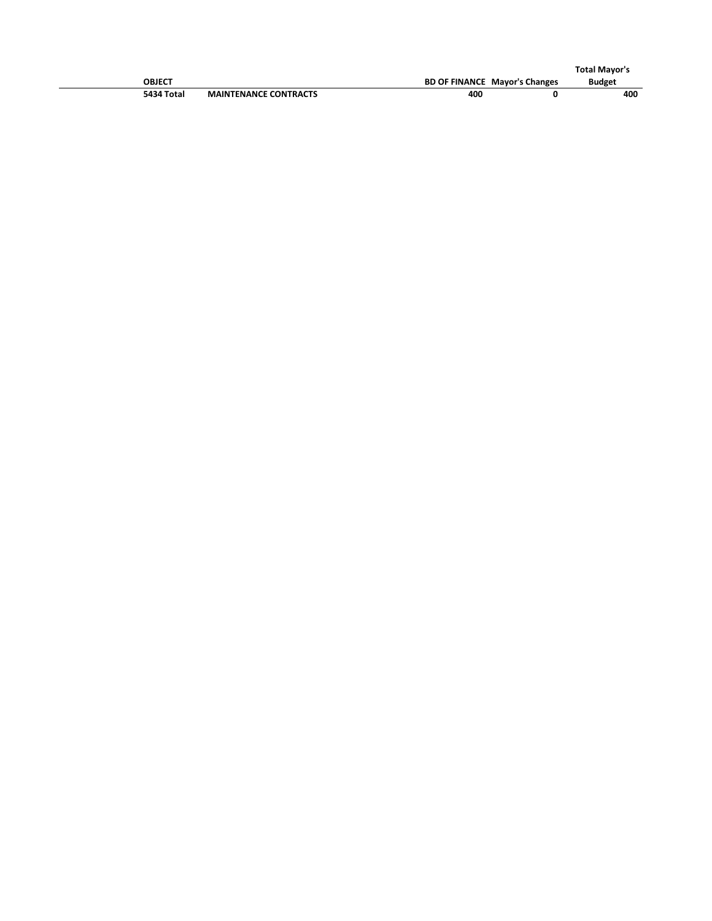|            |                              |     |                                      | <b>Total Mavor's</b> |
|------------|------------------------------|-----|--------------------------------------|----------------------|
| OBJECT     |                              |     | <b>BD OF FINANCE Mayor's Changes</b> | <b>Budget</b>        |
| 5434 Total | <b>MAINTENANCE CONTRACTS</b> | 400 |                                      | 400                  |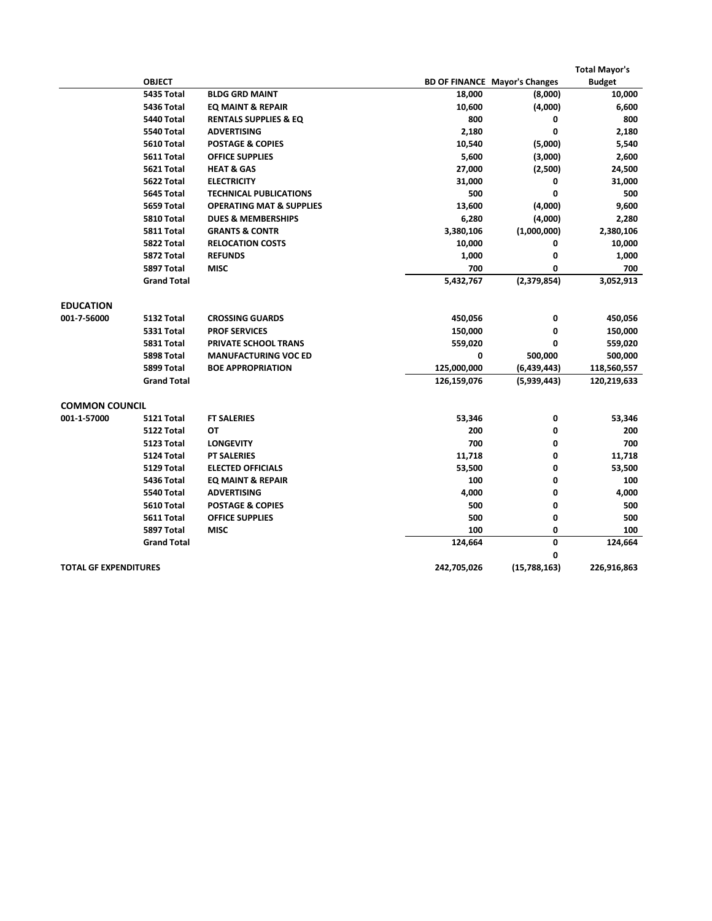|                              |                    |                                     |             |                                      | <b>Total Mayor's</b> |
|------------------------------|--------------------|-------------------------------------|-------------|--------------------------------------|----------------------|
|                              | <b>OBJECT</b>      |                                     |             | <b>BD OF FINANCE Mayor's Changes</b> | <b>Budget</b>        |
|                              | 5435 Total         | <b>BLDG GRD MAINT</b>               | 18,000      | (8,000)                              | 10,000               |
|                              | 5436 Total         | EQ MAINT & REPAIR                   | 10,600      | (4,000)                              | 6,600                |
|                              | 5440 Total         | <b>RENTALS SUPPLIES &amp; EQ</b>    | 800         | 0                                    | 800                  |
|                              | 5540 Total         | <b>ADVERTISING</b>                  | 2,180       | 0                                    | 2,180                |
|                              | 5610 Total         | <b>POSTAGE &amp; COPIES</b>         | 10,540      | (5,000)                              | 5,540                |
|                              | 5611 Total         | <b>OFFICE SUPPLIES</b>              | 5,600       | (3,000)                              | 2,600                |
|                              | 5621 Total         | <b>HEAT &amp; GAS</b>               | 27,000      | (2,500)                              | 24,500               |
|                              | 5622 Total         | <b>ELECTRICITY</b>                  | 31,000      | 0                                    | 31,000               |
|                              | 5645 Total         | <b>TECHNICAL PUBLICATIONS</b>       | 500         | 0                                    | 500                  |
|                              | 5659 Total         | <b>OPERATING MAT &amp; SUPPLIES</b> | 13,600      | (4,000)                              | 9,600                |
|                              | 5810 Total         | <b>DUES &amp; MEMBERSHIPS</b>       | 6,280       | (4,000)                              | 2,280                |
|                              | 5811 Total         | <b>GRANTS &amp; CONTR</b>           | 3,380,106   | (1,000,000)                          | 2,380,106            |
|                              | 5822 Total         | <b>RELOCATION COSTS</b>             | 10,000      | 0                                    | 10,000               |
|                              | 5872 Total         | <b>REFUNDS</b>                      | 1,000       | 0                                    | 1,000                |
|                              | 5897 Total         | <b>MISC</b>                         | 700         | 0                                    | 700                  |
|                              | <b>Grand Total</b> |                                     | 5,432,767   | (2,379,854)                          | 3,052,913            |
| <b>EDUCATION</b>             |                    |                                     |             |                                      |                      |
| 001-7-56000                  | 5132 Total         | <b>CROSSING GUARDS</b>              | 450,056     | 0                                    | 450,056              |
|                              | 5331 Total         | <b>PROF SERVICES</b>                | 150,000     | 0                                    | 150,000              |
|                              | 5831 Total         | PRIVATE SCHOOL TRANS                | 559,020     | 0                                    | 559,020              |
|                              | 5898 Total         | <b>MANUFACTURING VOC ED</b>         | 0           | 500,000                              | 500,000              |
|                              | 5899 Total         | <b>BOE APPROPRIATION</b>            | 125,000,000 | (6,439,443)                          | 118,560,557          |
|                              | <b>Grand Total</b> |                                     | 126,159,076 | (5,939,443)                          | 120,219,633          |
| <b>COMMON COUNCIL</b>        |                    |                                     |             |                                      |                      |
| 001-1-57000                  | 5121 Total         | <b>FT SALERIES</b>                  | 53,346      | 0                                    | 53,346               |
|                              | 5122 Total         | ОT                                  | 200         | 0                                    | 200                  |
|                              | 5123 Total         | <b>LONGEVITY</b>                    | 700         | 0                                    | 700                  |
|                              | 5124 Total         | <b>PT SALERIES</b>                  | 11,718      | 0                                    | 11,718               |
|                              | 5129 Total         | <b>ELECTED OFFICIALS</b>            | 53,500      | 0                                    | 53,500               |
|                              | 5436 Total         | EQ MAINT & REPAIR                   | 100         | 0                                    | 100                  |
|                              | 5540 Total         | <b>ADVERTISING</b>                  | 4,000       | 0                                    | 4,000                |
|                              | 5610 Total         | <b>POSTAGE &amp; COPIES</b>         | 500         | 0                                    | 500                  |
|                              | 5611 Total         | <b>OFFICE SUPPLIES</b>              | 500         | 0                                    | 500                  |
|                              | 5897 Total         | <b>MISC</b>                         | 100         | 0                                    | 100                  |
|                              | <b>Grand Total</b> |                                     | 124,664     | 0                                    | 124,664              |
|                              |                    |                                     |             | 0                                    |                      |
| <b>TOTAL GF EXPENDITURES</b> |                    |                                     | 242,705,026 | (15,788,163)                         | 226,916,863          |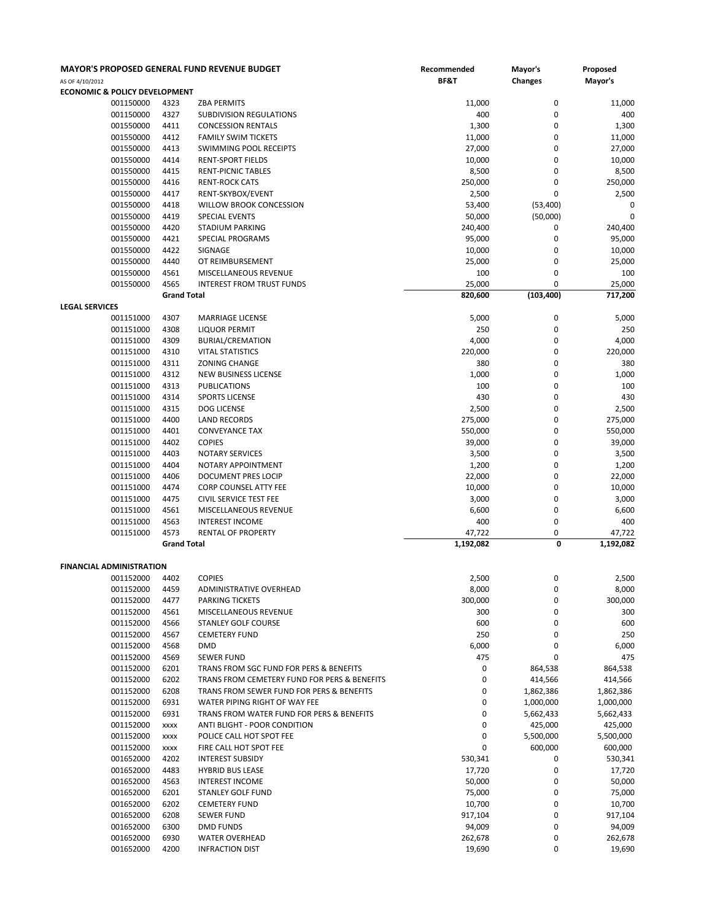| AS OF 4/10/2012                          |                        |                     | <b>MAYOR'S PROPOSED GENERAL FUND REVENUE BUDGET</b>         | Recommended<br>BF&T | Mayor's<br><b>Changes</b> | Proposed<br>Mayor's  |
|------------------------------------------|------------------------|---------------------|-------------------------------------------------------------|---------------------|---------------------------|----------------------|
| <b>ECONOMIC &amp; POLICY DEVELOPMENT</b> |                        |                     |                                                             |                     |                           |                      |
|                                          | 001150000              | 4323                | <b>ZBA PERMITS</b>                                          | 11,000              | 0                         | 11,000               |
|                                          | 001150000              | 4327                | SUBDIVISION REGULATIONS                                     | 400                 | $\mathbf 0$               | 400                  |
|                                          | 001550000<br>001550000 | 4411<br>4412        | <b>CONCESSION RENTALS</b>                                   | 1,300<br>11,000     | 0<br>0                    | 1,300                |
|                                          | 001550000              | 4413                | <b>FAMILY SWIM TICKETS</b><br><b>SWIMMING POOL RECEIPTS</b> | 27,000              | $\mathbf 0$               | 11,000<br>27,000     |
|                                          | 001550000              | 4414                | RENT-SPORT FIELDS                                           | 10,000              | $\mathbf 0$               | 10,000               |
|                                          | 001550000              | 4415                | <b>RENT-PICNIC TABLES</b>                                   | 8,500               | $\mathbf 0$               | 8,500                |
|                                          | 001550000              | 4416                | <b>RENT-ROCK CATS</b>                                       | 250,000             | 0                         | 250,000              |
|                                          | 001550000              | 4417                | RENT-SKYBOX/EVENT                                           | 2,500               | 0                         | 2,500                |
|                                          | 001550000              | 4418                | WILLOW BROOK CONCESSION                                     | 53,400              | (53,400)                  | 0                    |
|                                          | 001550000              | 4419                | <b>SPECIAL EVENTS</b>                                       | 50,000              | (50,000)                  | $\pmb{0}$            |
|                                          | 001550000              | 4420                | STADIUM PARKING                                             | 240,400             | 0                         | 240,400              |
|                                          | 001550000              | 4421                | SPECIAL PROGRAMS                                            | 95,000              | 0                         | 95,000               |
|                                          | 001550000              | 4422                | SIGNAGE                                                     | 10,000              | $\mathbf 0$               | 10,000               |
|                                          | 001550000              | 4440                | OT REIMBURSEMENT                                            | 25,000              | $\mathbf 0$               | 25,000               |
|                                          | 001550000              | 4561                | MISCELLANEOUS REVENUE                                       | 100                 | 0                         | 100                  |
|                                          | 001550000              | 4565                | <b>INTEREST FROM TRUST FUNDS</b>                            | 25,000              | 0                         | 25,000               |
| <b>LEGAL SERVICES</b>                    |                        | <b>Grand Total</b>  |                                                             | 820,600             | (103, 400)                | 717,200              |
|                                          | 001151000              | 4307                | <b>MARRIAGE LICENSE</b>                                     | 5,000               | 0                         | 5,000                |
|                                          | 001151000              | 4308                | <b>LIQUOR PERMIT</b>                                        | 250                 | 0                         | 250                  |
|                                          | 001151000              | 4309                | <b>BURIAL/CREMATION</b>                                     | 4,000               | $\mathbf 0$               | 4,000                |
|                                          | 001151000              | 4310                | <b>VITAL STATISTICS</b>                                     | 220,000             | $\mathbf 0$               | 220,000              |
|                                          | 001151000              | 4311                | <b>ZONING CHANGE</b>                                        | 380                 | 0                         | 380                  |
|                                          | 001151000              | 4312                | NEW BUSINESS LICENSE                                        | 1,000               | 0                         | 1,000                |
|                                          | 001151000              | 4313                | <b>PUBLICATIONS</b>                                         | 100                 | $\mathbf 0$               | 100                  |
|                                          | 001151000              | 4314                | <b>SPORTS LICENSE</b>                                       | 430                 | $\mathbf 0$               | 430                  |
|                                          | 001151000              | 4315                | DOG LICENSE                                                 | 2,500               | $\mathbf 0$               | 2,500                |
|                                          | 001151000              | 4400                | LAND RECORDS                                                | 275,000             | 0                         | 275,000              |
|                                          | 001151000              | 4401                | <b>CONVEYANCE TAX</b>                                       | 550,000             | $\mathbf 0$               | 550,000              |
|                                          | 001151000<br>001151000 | 4402<br>4403        | <b>COPIES</b><br><b>NOTARY SERVICES</b>                     | 39,000<br>3,500     | $\mathbf 0$<br>0          | 39,000<br>3,500      |
|                                          | 001151000              | 4404                | NOTARY APPOINTMENT                                          | 1,200               | 0                         | 1,200                |
|                                          | 001151000              | 4406                | DOCUMENT PRES LOCIP                                         | 22,000              | $\mathbf 0$               | 22,000               |
|                                          | 001151000              | 4474                | CORP COUNSEL ATTY FEE                                       | 10,000              | $\mathbf 0$               | 10,000               |
|                                          | 001151000              | 4475                | CIVIL SERVICE TEST FEE                                      | 3,000               | $\mathbf 0$               | 3,000                |
|                                          | 001151000              | 4561                | MISCELLANEOUS REVENUE                                       | 6,600               | 0                         | 6,600                |
|                                          | 001151000              | 4563                | <b>INTEREST INCOME</b>                                      | 400                 | $\mathbf 0$               | 400                  |
|                                          | 001151000              | 4573                | RENTAL OF PROPERTY                                          | 47,722              | 0                         | 47,722               |
|                                          |                        | <b>Grand Total</b>  |                                                             | 1,192,082           | 0                         | 1,192,082            |
|                                          |                        |                     |                                                             |                     |                           |                      |
| <b>FINANCIAL ADMINISTRATION</b>          | 001152000 4402         |                     | <b>COPIES</b>                                               | 2,500               | 0                         | 2,500                |
|                                          | 001152000              | 4459                | ADMINISTRATIVE OVERHEAD                                     | 8,000               | 0                         | 8,000                |
|                                          | 001152000              | 4477                | PARKING TICKETS                                             | 300,000             | 0                         | 300,000              |
|                                          | 001152000              | 4561                | MISCELLANEOUS REVENUE                                       | 300                 | 0                         | 300                  |
|                                          | 001152000              | 4566                | <b>STANLEY GOLF COURSE</b>                                  | 600                 | 0                         | 600                  |
|                                          | 001152000              | 4567                | <b>CEMETERY FUND</b>                                        | 250                 | $\mathbf 0$               | 250                  |
|                                          | 001152000              | 4568                | DMD                                                         | 6,000               | $\mathbf 0$               | 6,000                |
|                                          | 001152000              | 4569                | <b>SEWER FUND</b>                                           | 475                 | 0                         | 475                  |
|                                          | 001152000              | 6201                | TRANS FROM SGC FUND FOR PERS & BENEFITS                     | 0                   | 864,538                   | 864,538              |
|                                          | 001152000              | 6202                | TRANS FROM CEMETERY FUND FOR PERS & BENEFITS                | 0                   | 414,566                   | 414,566              |
|                                          | 001152000              | 6208                | TRANS FROM SEWER FUND FOR PERS & BENEFITS                   | 0                   | 1,862,386                 | 1,862,386            |
|                                          | 001152000              | 6931                | WATER PIPING RIGHT OF WAY FEE                               | 0                   | 1,000,000                 | 1,000,000            |
|                                          | 001152000              | 6931                | TRANS FROM WATER FUND FOR PERS & BENEFITS                   | 0<br>0              | 5,662,433                 | 5,662,433            |
|                                          | 001152000<br>001152000 | <b>XXXX</b><br>XXXX | ANTI BLIGHT - POOR CONDITION<br>POLICE CALL HOT SPOT FEE    | 0                   | 425,000<br>5,500,000      | 425,000<br>5,500,000 |
|                                          | 001152000              | XXXX                | FIRE CALL HOT SPOT FEE                                      | 0                   | 600,000                   | 600,000              |
|                                          | 001652000              | 4202                | <b>INTEREST SUBSIDY</b>                                     | 530,341             | 0                         | 530,341              |
|                                          | 001652000              | 4483                | <b>HYBRID BUS LEASE</b>                                     | 17,720              | 0                         | 17,720               |
|                                          | 001652000              | 4563                | <b>INTEREST INCOME</b>                                      | 50,000              | 0                         | 50,000               |
|                                          | 001652000              | 6201                | <b>STANLEY GOLF FUND</b>                                    | 75,000              | 0                         | 75,000               |
|                                          | 001652000              | 6202                | <b>CEMETERY FUND</b>                                        | 10,700              | 0                         | 10,700               |
|                                          | 001652000              | 6208                | <b>SEWER FUND</b>                                           | 917,104             | $\mathbf 0$               | 917,104              |
|                                          | 001652000              | 6300                | <b>DMD FUNDS</b>                                            | 94,009              | 0                         | 94,009               |
|                                          | 001652000              | 6930                | <b>WATER OVERHEAD</b>                                       | 262,678             | 0                         | 262,678              |
|                                          | 001652000              | 4200                | <b>INFRACTION DIST</b>                                      | 19,690              | 0                         | 19,690               |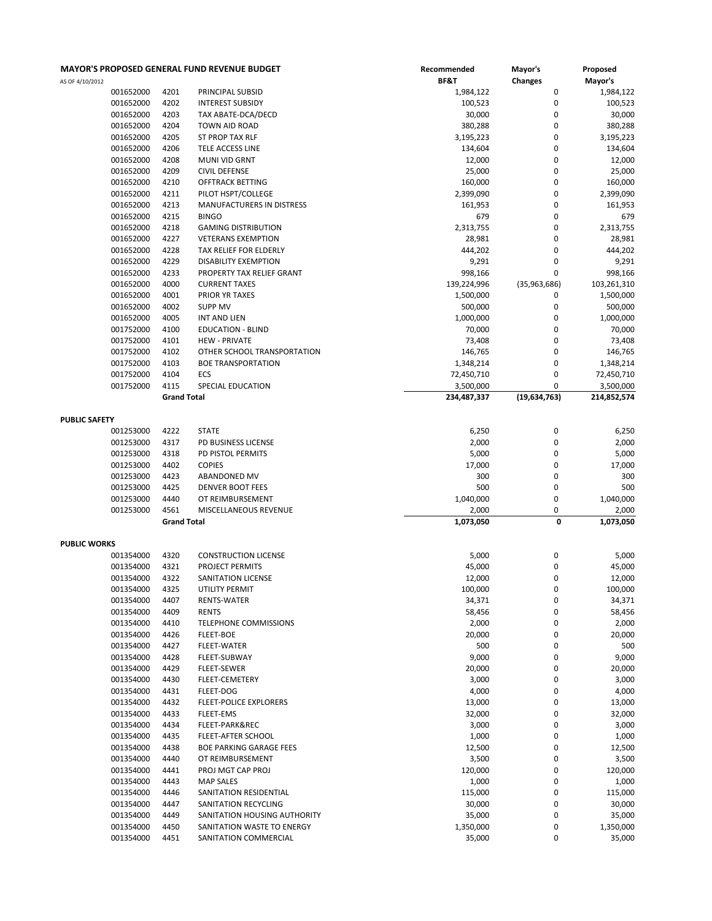|                     |                    | <b>MAYOR'S PROPOSED GENERAL FUND REVENUE BUDGET</b> | Recommended | Mayor's          | Proposed    |
|---------------------|--------------------|-----------------------------------------------------|-------------|------------------|-------------|
| AS OF 4/10/2012     |                    |                                                     | BF&T        | Changes          | Mayor's     |
| 001652000           | 4201               | PRINCIPAL SUBSID                                    | 1,984,122   | 0                | 1,984,122   |
| 001652000           | 4202               | <b>INTEREST SUBSIDY</b>                             | 100,523     | $\mathbf 0$      | 100,523     |
| 001652000           | 4203               | TAX ABATE-DCA/DECD                                  | 30,000      | 0                | 30,000      |
| 001652000           | 4204               | TOWN AID ROAD                                       | 380,288     | $\bf 0$          | 380,288     |
| 001652000           | 4205               | ST PROP TAX RLF                                     | 3,195,223   | 0                | 3,195,223   |
| 001652000           | 4206               | TELE ACCESS LINE                                    | 134,604     | $\bf 0$          | 134,604     |
| 001652000           | 4208               | MUNI VID GRNT                                       | 12,000      | 0                | 12,000      |
| 001652000           | 4209               | <b>CIVIL DEFENSE</b>                                | 25,000      | 0                | 25,000      |
| 001652000           | 4210               | <b>OFFTRACK BETTING</b>                             | 160,000     | $\bf 0$          | 160,000     |
| 001652000           | 4211               | PILOT HSPT/COLLEGE                                  | 2,399,090   | $\bf 0$          | 2,399,090   |
| 001652000           | 4213               | MANUFACTURERS IN DISTRESS                           | 161,953     | $\mathbf 0$      | 161,953     |
|                     |                    |                                                     |             |                  |             |
| 001652000           | 4215               | <b>BINGO</b>                                        | 679         | 0                | 679         |
| 001652000           | 4218               | <b>GAMING DISTRIBUTION</b>                          | 2,313,755   | $\mathbf 0$      | 2,313,755   |
| 001652000           | 4227               | <b>VETERANS EXEMPTION</b>                           | 28,981      | $\bf 0$          | 28,981      |
| 001652000           | 4228               | TAX RELIEF FOR ELDERLY                              | 444,202     | 0                | 444,202     |
| 001652000           | 4229               | <b>DISABILITY EXEMPTION</b>                         | 9,291       | $\mathbf 0$      | 9,291       |
| 001652000           | 4233               | PROPERTY TAX RELIEF GRANT                           | 998,166     | $\mathbf 0$      | 998,166     |
| 001652000           | 4000               | <b>CURRENT TAXES</b>                                | 139,224,996 | (35,963,686)     | 103,261,310 |
| 001652000           | 4001               | PRIOR YR TAXES                                      | 1,500,000   | 0                | 1,500,000   |
| 001652000           | 4002               | <b>SUPP MV</b>                                      | 500,000     | $\bf 0$          | 500,000     |
| 001652000           | 4005               | INT AND LIEN                                        | 1,000,000   | $\mathbf 0$      | 1,000,000   |
| 001752000           | 4100               | <b>EDUCATION - BLIND</b>                            | 70,000      | $\mathbf 0$      | 70,000      |
| 001752000           | 4101               | <b>HEW - PRIVATE</b>                                | 73,408      | 0                | 73,408      |
| 001752000           | 4102               | OTHER SCHOOL TRANSPORTATION                         | 146,765     | $\mathbf 0$      | 146,765     |
|                     |                    | <b>BOE TRANSPORTATION</b>                           |             |                  |             |
| 001752000           | 4103               |                                                     | 1,348,214   | 0                | 1,348,214   |
| 001752000           | 4104               | ECS                                                 | 72,450,710  | $\mathbf 0$      | 72,450,710  |
| 001752000           | 4115               | SPECIAL EDUCATION                                   | 3,500,000   | 0                | 3,500,000   |
|                     | <b>Grand Total</b> |                                                     | 234,487,337 | (19,634,763)     | 214,852,574 |
| PUBLIC SAFETY       |                    |                                                     |             |                  |             |
| 001253000           | 4222               | <b>STATE</b>                                        |             | $\boldsymbol{0}$ | 6,250       |
|                     |                    |                                                     | 6,250       |                  |             |
| 001253000           | 4317               | PD BUSINESS LICENSE                                 | 2,000       | $\mathbf 0$      | 2,000       |
| 001253000           | 4318               | PD PISTOL PERMITS                                   | 5,000       | 0                | 5,000       |
| 001253000           | 4402               | <b>COPIES</b>                                       | 17,000      | 0                | 17,000      |
| 001253000           | 4423               | ABANDONED MV                                        | 300         | $\bf 0$          | 300         |
| 001253000           | 4425               | <b>DENVER BOOT FEES</b>                             | 500         | 0                | 500         |
| 001253000           | 4440               | OT REIMBURSEMENT                                    | 1,040,000   | $\bf 0$          | 1,040,000   |
| 001253000           | 4561               | MISCELLANEOUS REVENUE                               | 2,000       | 0                | 2,000       |
|                     | <b>Grand Total</b> |                                                     | 1,073,050   | 0                | 1,073,050   |
| <b>PUBLIC WORKS</b> |                    |                                                     |             |                  |             |
| 001354000           | 4320               | <b>CONSTRUCTION LICENSE</b>                         | 5,000       | 0                | 5,000       |
| 001354000           | 4321               | PROJECT PERMITS                                     | 45,000      | 0                | 45,000      |
|                     |                    |                                                     |             | 0                |             |
| 001354000           | 4322               | SANITATION LICENSE                                  | 12,000      |                  | 12,000      |
| 001354000           | 4325               | UTILITY PERMIT                                      | 100,000     | $\bf 0$          | 100,000     |
| 001354000           | 4407               | RENTS-WATER                                         | 34,371      | $\bf 0$          | 34,371      |
| 001354000           | 4409               | <b>RENTS</b>                                        | 58,456      | $\bf 0$          | 58,456      |
| 001354000           | 4410               | TELEPHONE COMMISSIONS                               | 2,000       | $\bf 0$          | 2,000       |
| 001354000           | 4426               | <b>FLEET-BOE</b>                                    | 20,000      | 0                | 20,000      |
| 001354000           | 4427               | FLEET-WATER                                         | 500         | 0                | 500         |
| 001354000           | 4428               | FLEET-SUBWAY                                        | 9,000       | $\bf 0$          | 9,000       |
| 001354000           | 4429               | FLEET-SEWER                                         | 20,000      | $\bf 0$          | 20,000      |
| 001354000           | 4430               | FLEET-CEMETERY                                      | 3,000       | 0                | 3,000       |
| 001354000           | 4431               | FLEET-DOG                                           | 4,000       | 0                | 4,000       |
| 001354000           | 4432               | <b>FLEET-POLICE EXPLORERS</b>                       | 13,000      | 0                | 13,000      |
| 001354000           | 4433               | FLEET-EMS                                           | 32,000      | $\bf 0$          | 32,000      |
| 001354000           | 4434               | FLEET-PARK&REC                                      | 3,000       | 0                | 3,000       |
| 001354000           | 4435               | FLEET-AFTER SCHOOL                                  | 1,000       | $\bf 0$          | 1,000       |
| 001354000           | 4438               | <b>BOE PARKING GARAGE FEES</b>                      | 12,500      | 0                | 12,500      |
|                     |                    |                                                     |             |                  |             |
| 001354000           | 4440               | OT REIMBURSEMENT                                    | 3,500       | $\bf 0$          | 3,500       |
| 001354000           | 4441               | PROJ MGT CAP PROJ                                   | 120,000     | $\bf 0$          | 120,000     |
| 001354000           | 4443               | <b>MAP SALES</b>                                    | 1,000       | $\bf 0$          | 1,000       |
| 001354000           | 4446               | SANITATION RESIDENTIAL                              | 115,000     | 0                | 115,000     |
| 001354000           | 4447               | SANITATION RECYCLING                                | 30,000      | $\bf 0$          | 30,000      |
| 001354000           | 4449               | SANITATION HOUSING AUTHORITY                        | 35,000      | 0                | 35,000      |
| 001354000           | 4450               | SANITATION WASTE TO ENERGY                          | 1,350,000   | 0                | 1,350,000   |
| 001354000           | 4451               | SANITATION COMMERCIAL                               | 35,000      | $\bf 0$          | 35,000      |